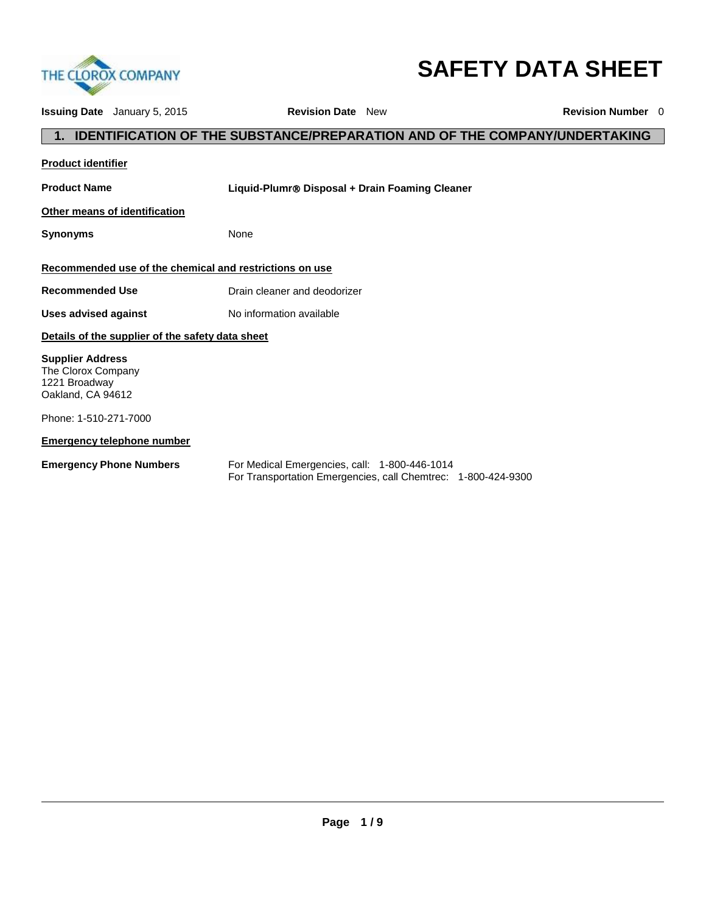

# **SAFETY DATA SHEET**

| <b>Issuing Date</b> January 5, 2015                                                 | <b>Revision Date</b> New                                                                                       | <b>Revision Number</b> 0 |
|-------------------------------------------------------------------------------------|----------------------------------------------------------------------------------------------------------------|--------------------------|
|                                                                                     | <b>IDENTIFICATION OF THE SUBSTANCE/PREPARATION AND OF THE COMPANY/UNDERTAKING</b>                              |                          |
| <b>Product identifier</b>                                                           |                                                                                                                |                          |
| <b>Product Name</b>                                                                 | Liquid-Plumr® Disposal + Drain Foaming Cleaner                                                                 |                          |
| Other means of identification                                                       |                                                                                                                |                          |
| <b>Synonyms</b>                                                                     | None                                                                                                           |                          |
| Recommended use of the chemical and restrictions on use                             |                                                                                                                |                          |
| <b>Recommended Use</b>                                                              | Drain cleaner and deodorizer                                                                                   |                          |
| Uses advised against                                                                | No information available                                                                                       |                          |
| Details of the supplier of the safety data sheet                                    |                                                                                                                |                          |
| <b>Supplier Address</b><br>The Clorox Company<br>1221 Broadway<br>Oakland, CA 94612 |                                                                                                                |                          |
| Phone: 1-510-271-7000                                                               |                                                                                                                |                          |
| <b>Emergency telephone number</b>                                                   |                                                                                                                |                          |
| <b>Emergency Phone Numbers</b>                                                      | For Medical Emergencies, call: 1-800-446-1014<br>For Transportation Emergencies, call Chemtrec: 1-800-424-9300 |                          |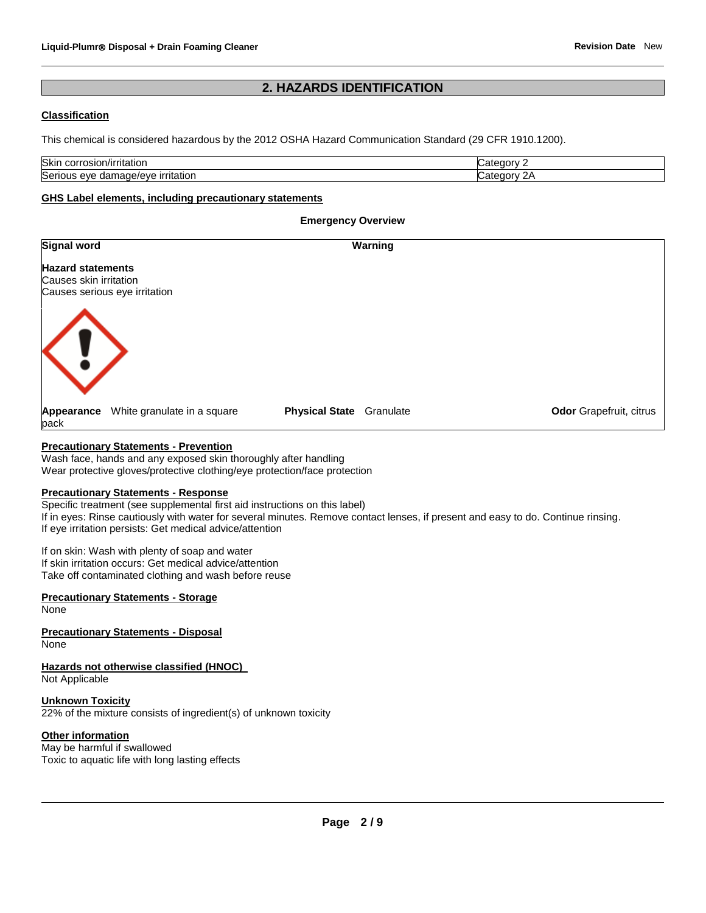#### **2. HAZARDS IDENTIFICATION**

#### **Classification**

This chemical is considered hazardous by the 2012 OSHA Hazard Communication Standard (29 CFR 1910.1200).

| Skin<br>≧/irritation<br>corrosion                                        |      |  |
|--------------------------------------------------------------------------|------|--|
| Seric<br>.<br>-----<br>.<br>AVA<br>۱۵۱۵<br>٠ΠΑ.<br>aamac<br>ritation<br> | .ate |  |

**Emergency Overview** 

#### **GHS Label elements, including precautionary statements**

| <b>Signal word</b>                                                                  | Warning                            |                         |
|-------------------------------------------------------------------------------------|------------------------------------|-------------------------|
| <b>Hazard statements</b><br>Causes skin irritation<br>Causes serious eye irritation |                                    |                         |
|                                                                                     |                                    |                         |
| White granulate in a square<br>Appearance<br>pack                                   | <b>Physical State</b><br>Granulate | Odor Grapefruit, citrus |
|                                                                                     |                                    |                         |

#### **Precautionary Statements - Prevention**

Wash face, hands and any exposed skin thoroughly after handling Wear protective gloves/protective clothing/eye protection/face protection

#### **Precautionary Statements - Response**

Specific treatment (see supplemental first aid instructions on this label) If in eyes: Rinse cautiously with water for several minutes. Remove contact lenses, if present and easy to do. Continue rinsing. If eye irritation persists: Get medical advice/attention

If on skin: Wash with plenty of soap and water If skin irritation occurs: Get medical advice/attention Take off contaminated clothing and wash before reuse

#### **Precautionary Statements - Storage**

None

**Precautionary Statements - Disposal** None

**Hazards not otherwise classified (HNOC)**  Not Applicable

**Unknown Toxicity** 22% of the mixture consists of ingredient(s) of unknown toxicity

#### **Other information**

May be harmful if swallowed Toxic to aquatic life with long lasting effects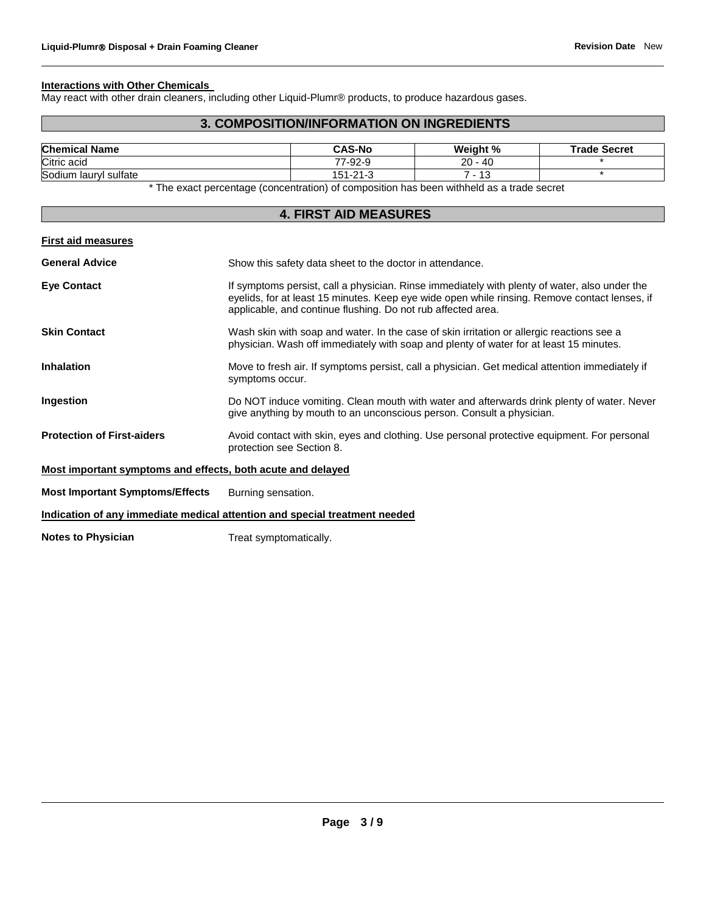#### **Interactions with Other Chemicals**

May react with other drain cleaners, including other Liquid-Plumr® products, to produce hazardous gases.

#### **3. COMPOSITION/INFORMATION ON INGREDIENTS**

| <b>Chemical Name</b>  |                                                                                           | <b>CAS-No</b>  | Weiaht %  | <b>Trade Secret</b> |
|-----------------------|-------------------------------------------------------------------------------------------|----------------|-----------|---------------------|
| Citric acid           |                                                                                           | 77-92-9        | $20 - 40$ |                     |
| Sodium laurvl sulfate |                                                                                           | $151 - 21 - 3$ | ' - 13    |                     |
|                       | * The exact percentage (concentration) of composition has been withheld as a trade secret |                |           |                     |

### **4. FIRST AID MEASURES First aid measures General Advice** Show this safety data sheet to the doctor in attendance. Eye Contact **If symptoms persist, call a physician. Rinse immediately with plenty of water, also under the** eyelids, for at least 15 minutes. Keep eye wide open while rinsing. Remove contact lenses, if applicable, and continue flushing. Do not rub affected area. **Skin Contact** Wash skin with soap and water. In the case of skin irritation or allergic reactions see a physician. Wash off immediately with soap and plenty of water for at least 15 minutes. **Inhalation** Move to fresh air. If symptoms persist, call a physician. Get medical attention immediately if symptoms occur. **Ingestion Do NOT** induce vomiting. Clean mouth with water and afterwards drink plenty of water. Never give anything by mouth to an unconscious person. Consult a physician. **Protection of First-aiders** Avoid contact with skin, eyes and clothing. Use personal protective equipment. For personal protection see Section 8. **Most important symptoms and effects, both acute and delayed Most Important Symptoms/Effects** Burning sensation. **Indication of any immediate medical attention and special treatment needed**

**Notes to Physician** Treat symptomatically.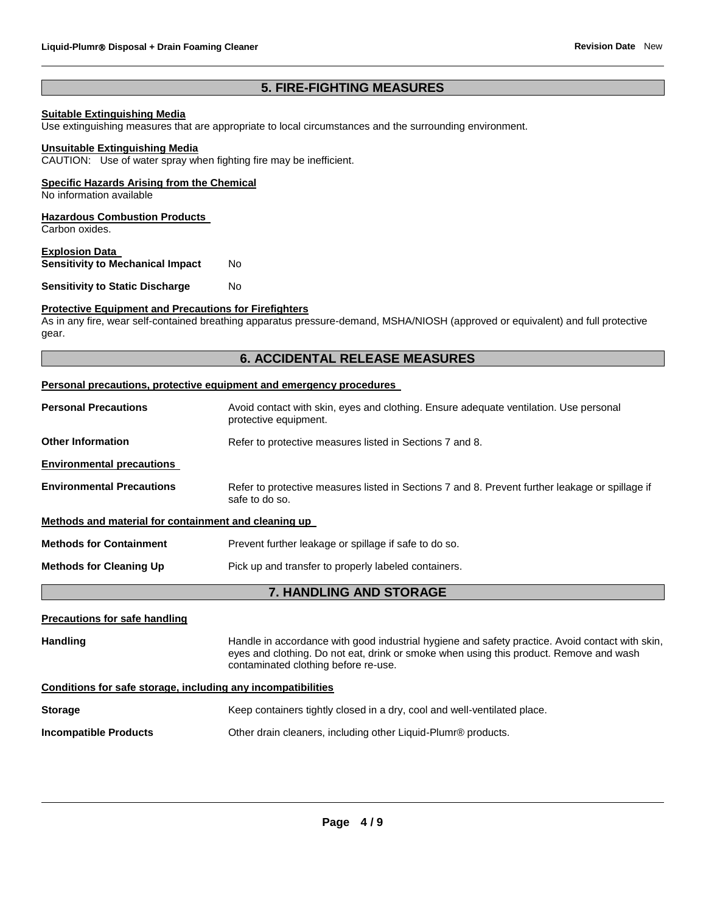#### **5. FIRE-FIGHTING MEASURES**

#### **Suitable Extinguishing Media**

Use extinguishing measures that are appropriate to local circumstances and the surrounding environment.

#### **Unsuitable Extinguishing Media**

CAUTION: Use of water spray when fighting fire may be inefficient.

#### **Specific Hazards Arising from the Chemical**

No information available

#### **Hazardous Combustion Products**

Carbon oxides.

#### **Explosion Data Sensitivity to Mechanical Impact No**

**Sensitivity to Static Discharge Moments** 

## **Protective Equipment and Precautions for Firefighters**

As in any fire, wear self-contained breathing apparatus pressure-demand, MSHA/NIOSH (approved or equivalent) and full protective gear.

#### **6. ACCIDENTAL RELEASE MEASURES**

#### **Personal precautions, protective equipment and emergency procedures**

| <b>Personal Precautions</b>                                  | Avoid contact with skin, eyes and clothing. Ensure adequate ventilation. Use personal<br>protective equipment.                                                                                                                    |
|--------------------------------------------------------------|-----------------------------------------------------------------------------------------------------------------------------------------------------------------------------------------------------------------------------------|
| <b>Other Information</b>                                     | Refer to protective measures listed in Sections 7 and 8.                                                                                                                                                                          |
| <b>Environmental precautions</b>                             |                                                                                                                                                                                                                                   |
| <b>Environmental Precautions</b>                             | Refer to protective measures listed in Sections 7 and 8. Prevent further leakage or spillage if<br>safe to do so.                                                                                                                 |
| Methods and material for containment and cleaning up         |                                                                                                                                                                                                                                   |
| <b>Methods for Containment</b>                               | Prevent further leakage or spillage if safe to do so.                                                                                                                                                                             |
| <b>Methods for Cleaning Up</b>                               | Pick up and transfer to properly labeled containers.                                                                                                                                                                              |
|                                                              | 7. HANDLING AND STORAGE                                                                                                                                                                                                           |
| <b>Precautions for safe handling</b>                         |                                                                                                                                                                                                                                   |
| <b>Handling</b>                                              | Handle in accordance with good industrial hygiene and safety practice. Avoid contact with skin,<br>eyes and clothing. Do not eat, drink or smoke when using this product. Remove and wash<br>contaminated clothing before re-use. |
| Conditions for safe storage, including any incompatibilities |                                                                                                                                                                                                                                   |
| <b>Storage</b>                                               | Keep containers tightly closed in a dry, cool and well-ventilated place.                                                                                                                                                          |

**Incompatible Products** Other drain cleaners, including other Liquid-Plumr® products.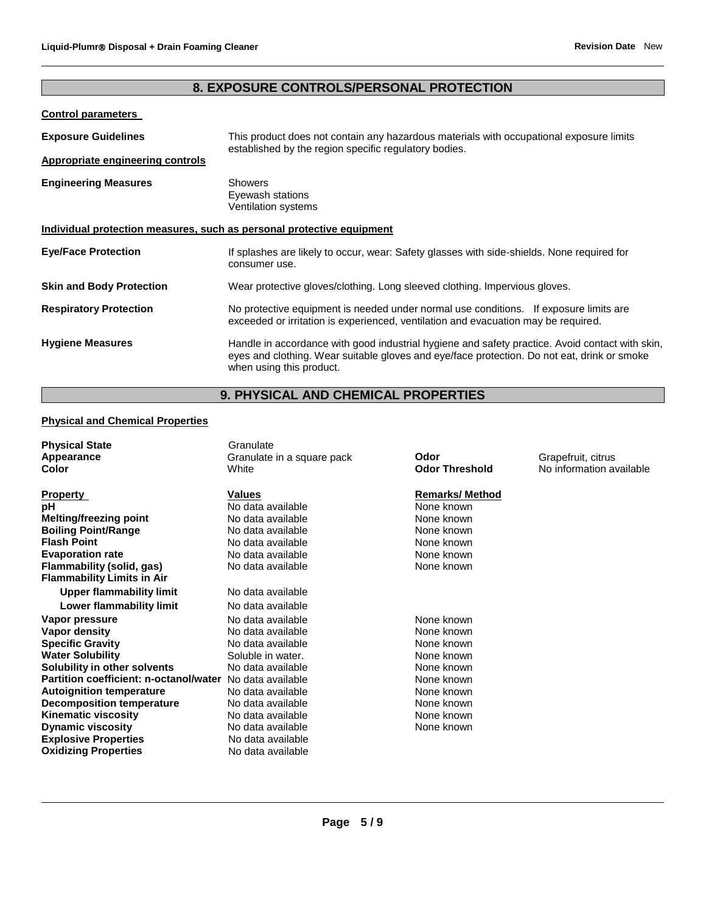### **8. EXPOSURE CONTROLS/PERSONAL PROTECTION**

### **Control parameters**

| <b>Exposure Guidelines</b>                                            | This product does not contain any hazardous materials with occupational exposure limits<br>established by the region specific regulatory bodies.                                                                           |
|-----------------------------------------------------------------------|----------------------------------------------------------------------------------------------------------------------------------------------------------------------------------------------------------------------------|
| Appropriate engineering controls                                      |                                                                                                                                                                                                                            |
| <b>Engineering Measures</b>                                           | <b>Showers</b><br>Eyewash stations<br>Ventilation systems                                                                                                                                                                  |
| Individual protection measures, such as personal protective equipment |                                                                                                                                                                                                                            |
| <b>Eye/Face Protection</b>                                            | If splashes are likely to occur, wear: Safety glasses with side-shields. None required for<br>consumer use.                                                                                                                |
| <b>Skin and Body Protection</b>                                       | Wear protective gloves/clothing. Long sleeved clothing. Impervious gloves.                                                                                                                                                 |
| <b>Respiratory Protection</b>                                         | No protective equipment is needed under normal use conditions. If exposure limits are<br>exceeded or irritation is experienced, ventilation and evacuation may be required.                                                |
| <b>Hygiene Measures</b>                                               | Handle in accordance with good industrial hygiene and safety practice. Avoid contact with skin,<br>eyes and clothing. Wear suitable gloves and eye/face protection. Do not eat, drink or smoke<br>when using this product. |

### **9. PHYSICAL AND CHEMICAL PROPERTIES**

#### **Physical and Chemical Properties**

| <b>Physical State</b><br>Appearance<br>Color                                                                                                                                                                                                                                                                                                                                                                                                                | Granulate<br>Granulate in a square pack<br>White                                                                                                                                                                                                                                               | Odor<br><b>Odor Threshold</b>                                                                                                                                                                 | Grapefruit, citrus<br>No information available |
|-------------------------------------------------------------------------------------------------------------------------------------------------------------------------------------------------------------------------------------------------------------------------------------------------------------------------------------------------------------------------------------------------------------------------------------------------------------|------------------------------------------------------------------------------------------------------------------------------------------------------------------------------------------------------------------------------------------------------------------------------------------------|-----------------------------------------------------------------------------------------------------------------------------------------------------------------------------------------------|------------------------------------------------|
| <b>Property</b><br>рH<br><b>Melting/freezing point</b><br><b>Boiling Point/Range</b><br><b>Flash Point</b><br><b>Evaporation rate</b><br>Flammability (solid, gas)<br><b>Flammability Limits in Air</b><br><b>Upper flammability limit</b><br>Lower flammability limit<br>Vapor pressure<br>Vapor density<br><b>Specific Gravity</b><br><b>Water Solubility</b><br>Solubility in other solvents<br>Partition coefficient: n-octanol/water No data available | <b>Values</b><br>No data available<br>No data available<br>No data available<br>No data available<br>No data available<br>No data available<br>No data available<br>No data available<br>No data available<br>No data available<br>No data available<br>Soluble in water.<br>No data available | <b>Remarks/Method</b><br>None known<br>None known<br>None known<br>None known<br>None known<br>None known<br>None known<br>None known<br>None known<br>None known<br>None known<br>None known |                                                |
| <b>Autoignition temperature</b><br>Decomposition temperature<br><b>Kinematic viscosity</b><br><b>Dynamic viscosity</b><br><b>Explosive Properties</b><br><b>Oxidizing Properties</b>                                                                                                                                                                                                                                                                        | No data available<br>No data available<br>No data available<br>No data available<br>No data available<br>No data available                                                                                                                                                                     | None known<br>None known<br>None known<br>None known                                                                                                                                          |                                                |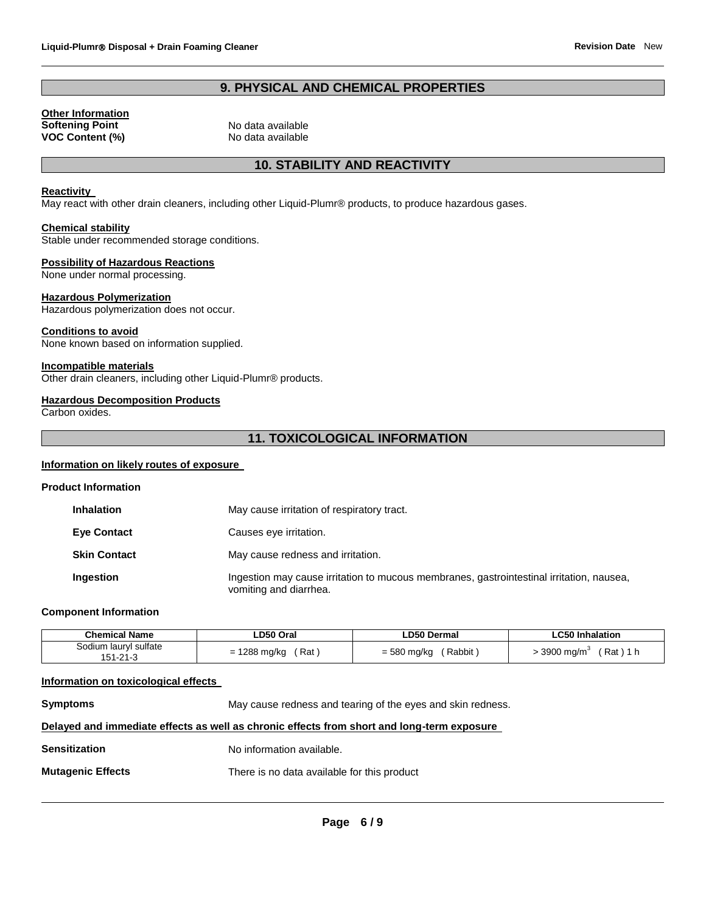#### **9. PHYSICAL AND CHEMICAL PROPERTIES**

**Other Information Softening Point** No data available **VOC Content (%)** No data available

#### **10. STABILITY AND REACTIVITY**

#### **Reactivity**

May react with other drain cleaners, including other Liquid-Plumr® products, to produce hazardous gases.

#### **Chemical stability**

Stable under recommended storage conditions.

#### **Possibility of Hazardous Reactions**

None under normal processing.

#### **Hazardous Polymerization**

Hazardous polymerization does not occur.

#### **Conditions to avoid**

None known based on information supplied.

#### **Incompatible materials**

Other drain cleaners, including other Liquid-Plumr® products.

#### **Hazardous Decomposition Products**

Carbon oxides.

#### **11. TOXICOLOGICAL INFORMATION**

#### **Information on likely routes of exposure**

| <b>Product Information</b> |
|----------------------------|
|----------------------------|

| <b>Inhalation</b>   | May cause irritation of respiratory tract.                                                                         |
|---------------------|--------------------------------------------------------------------------------------------------------------------|
| <b>Eye Contact</b>  | Causes eye irritation.                                                                                             |
| <b>Skin Contact</b> | May cause redness and irritation.                                                                                  |
| Ingestion           | Ingestion may cause irritation to mucous membranes, gastrointestinal irritation, nausea,<br>vomiting and diarrhea. |

#### **Component Information**

| <b>Chemical Name</b>  | <b>_D50 Oral</b> | LD50 Dermal | <b>LC50 Inhalation</b> |
|-----------------------|------------------|-------------|------------------------|
| Sodium lauryl sulfate | 1288 mg/kg       | = 580 mg/kg | 3900 ma/m <sup>3</sup> |
| $51 - 21 - 3$         | Rat              | ' Rabbit,   | $Rat$ ) 1 $h$          |

#### **Information on toxicological effects**

**Symptoms** May cause redness and tearing of the eyes and skin redness.

#### **Delayed and immediate effects as well as chronic effects from short and long-term exposure**

| Sensitization | No information available. |
|---------------|---------------------------|
|               |                           |

**Mutagenic Effects** There is no data available for this product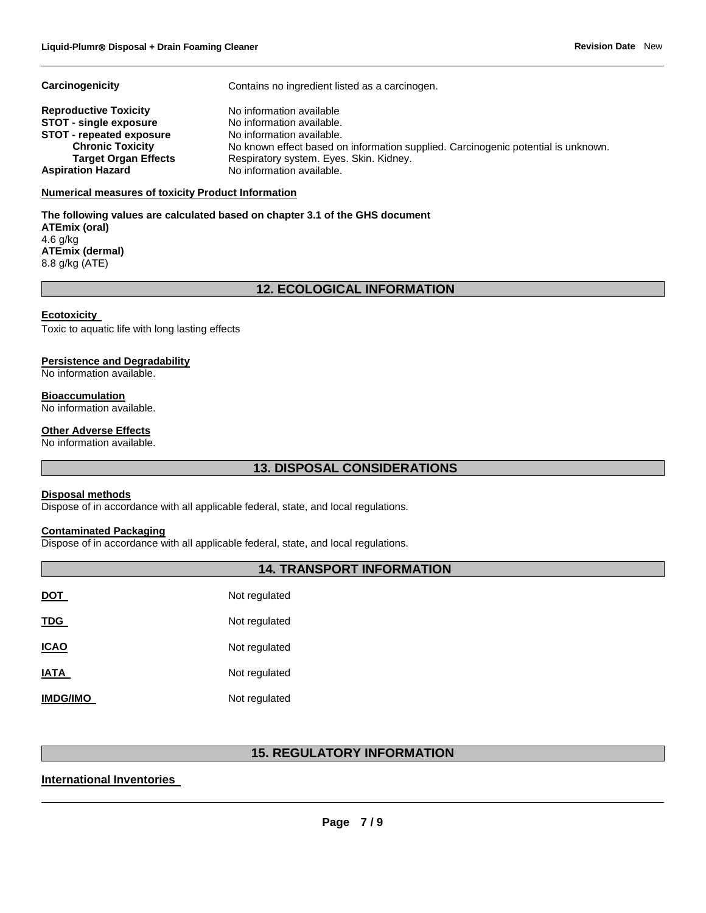**Carcinogenicity Contains no ingredient listed as a carcinogen.** 

| <b>Reproductive Toxicity</b>    | No information available                                                          |
|---------------------------------|-----------------------------------------------------------------------------------|
| <b>STOT - single exposure</b>   | No information available.                                                         |
| <b>STOT - repeated exposure</b> | No information available.                                                         |
| <b>Chronic Toxicity</b>         | No known effect based on information supplied. Carcinogenic potential is unknown. |
| <b>Target Organ Effects</b>     | Respiratory system. Eyes. Skin. Kidney.                                           |
| <b>Aspiration Hazard</b>        | No information available.                                                         |

#### **Numerical measures of toxicity Product Information**

**The following values are calculated based on chapter 3.1 of the GHS document ATEmix (oral)** 4.6 g/kg **ATEmix (dermal)** 8.8 g/kg (ATE)

#### **12. ECOLOGICAL INFORMATION**

#### **Ecotoxicity**

Toxic to aquatic life with long lasting effects

#### **Persistence and Degradability**

No information available.

#### **Bioaccumulation**

No information available.

#### **Other Adverse Effects**

No information available.

### **13. DISPOSAL CONSIDERATIONS**

#### **Disposal methods**

Dispose of in accordance with all applicable federal, state, and local regulations.

#### **Contaminated Packaging**

Dispose of in accordance with all applicable federal, state, and local regulations.

#### **14. TRANSPORT INFORMATION**

| <b>DOT</b>      | Not regulated |
|-----------------|---------------|
| <b>TDG</b>      | Not regulated |
| <b>ICAO</b>     | Not regulated |
| <b>IATA</b>     | Not regulated |
| <b>IMDG/IMO</b> | Not regulated |

#### **15. REGULATORY INFORMATION**

#### **International Inventories**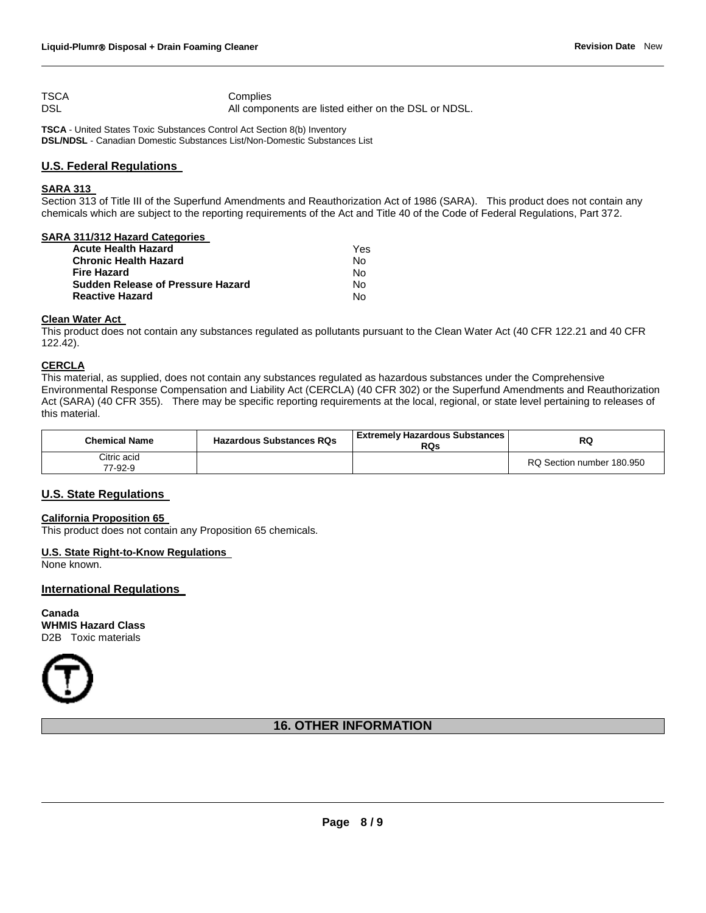TSCA Complies DSL All components are listed either on the DSL or NDSL.

**TSCA** - United States Toxic Substances Control Act Section 8(b) Inventory **DSL/NDSL** - Canadian Domestic Substances List/Non-Domestic Substances List

#### **U.S. Federal Regulations**

#### **SARA 313**

Section 313 of Title III of the Superfund Amendments and Reauthorization Act of 1986 (SARA). This product does not contain any chemicals which are subject to the reporting requirements of the Act and Title 40 of the Code of Federal Regulations, Part 372.

#### **SARA 311/312 Hazard Categories**

| Acute Health Hazard               | Yes |
|-----------------------------------|-----|
| Chronic Health Hazard             | N٥  |
| Fire Hazard                       | N٥  |
| Sudden Release of Pressure Hazard | N٥  |
| Reactive Hazard                   | N٥  |
|                                   |     |

#### **Clean Water Act**

This product does not contain any substances regulated as pollutants pursuant to the Clean Water Act (40 CFR 122.21 and 40 CFR 122.42).

#### **CERCLA**

This material, as supplied, does not contain any substances regulated as hazardous substances under the Comprehensive Environmental Response Compensation and Liability Act (CERCLA) (40 CFR 302) or the Superfund Amendments and Reauthorization Act (SARA) (40 CFR 355). There may be specific reporting requirements at the local, regional, or state level pertaining to releases of this material.

| <b>Chemical Name</b>   | <b>Hazardous Substances RQs</b> | l Extremely Hazardous Substances<br>RQs | RQ                        |
|------------------------|---------------------------------|-----------------------------------------|---------------------------|
| Citric acid<br>77-92-9 |                                 |                                         | RQ Section number 180.950 |

#### **U.S. State Regulations**

#### **California Proposition 65**

This product does not contain any Proposition 65 chemicals.

#### **U.S. State Right-to-Know Regulations**

None known.

#### **International Regulations**

**Canada WHMIS Hazard Class** D2B Toxic materials



#### **16. OTHER INFORMATION**